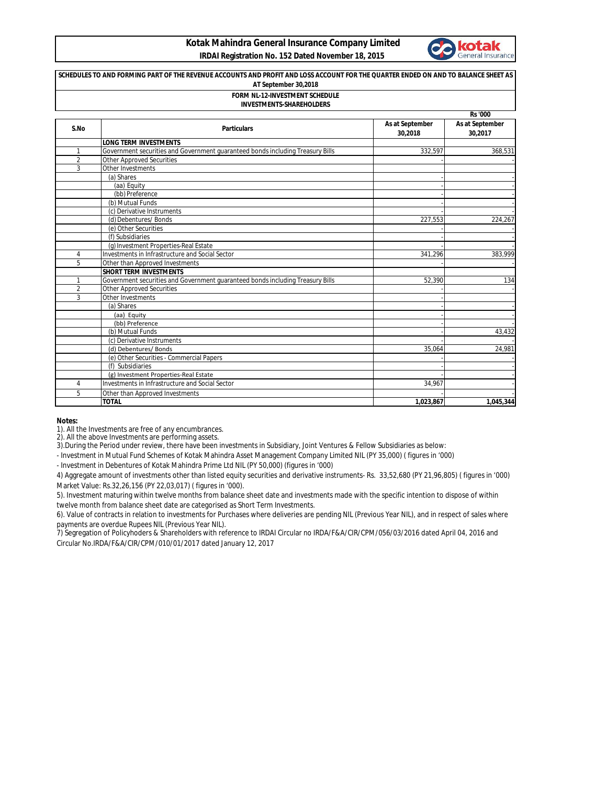## **Kotak Mahindra General Insurance Company Limited IRDAI Registration No. 152 Dated November 18, 2015**



## **Rs '000 S.No Particulars As at September 30,2018 As at September 30,2017 LONG TERM INVESTMENTS** 1 Government securities and Government guaranteed bonds including Treasury Bills (Refer Note 332,597 368,531 368,531 368,531 368,531 368,531 368,531 368,531 368,531 368,531 368,531 368,531 368,531 368,531 368,531 368,531 3 Other Approved Securities 3 Other Investments (a) Shares - - (aa) Equity - - (bb) Preference - - (b) Mutual Funds (c) Derivative Instruments (d) Debentures/ Bonds 227,553 224,267 (e) Other Securities - - (f) Subsidiaries - - (g) Investment Properties-Real Estate - - 4 Investments in Infrastructure and Social Sector 5 Other than Approved Investments **SHORT TERM INVESTMENTS** 1 Government securities and Government guaranteed bonds including Treasury Bills 652,390 134 **SCHEDULES TO AND FORMING PART OF THE REVENUE ACCOUNTS AND PROFIT AND LOSS ACCOUNT FOR THE QUARTER ENDED ON AND TO BALANCE SHEET AS AT September 30,2018 FORM NL-12-INVESTMENT SCHEDULE INVESTMENTS-SHAREHOLDERS**

2 Other Approved Securities 3 Other Investments (a) Shares - - (aa) Equity - - (bb) Preference - - (b) Mutual Funds 43,432 (c) Derivative Instruments and Debentures/Bonds and Debentures/Bonds and Debentures/Bonds and Debentures/Bonds and Debentures/Bonds and Debentures/Bonds and Debentures/Bonds and Debentures/Bonds and Debentures/Bonds and De (d) Debentures/ Bonds (e) Other Securities - Commercial Papers (f) Subsidiaries (g) Investment Properties-Real Estate 4 Investments in Infrastructure and Social Sector 34,967 - The State of the Content of the Content of the Content of the Content of the Content of the Content of the Content of the Content of the Content of the Content of the Content of the Content of the Content of the Content of **TOTAL 1,023,867 1,045,344** 

**Notes:**

1). All the Investments are free of any encumbrances.

2). All the above Investments are performing assets.

3).During the Period under review, there have been investments in Subsidiary, Joint Ventures & Fellow Subsidiaries as below:

- Investment in Mutual Fund Schemes of Kotak Mahindra Asset Management Company Limited NIL (PY 35,000) ( figures in '000)

- Investment in Debentures of Kotak Mahindra Prime Ltd NIL (PY 50,000) (figures in '000)

4) Aggregate amount of investments other than listed equity securities and derivative instruments- Rs. 33,52,680 (PY 21,96,805) ( figures in '000) Market Value: Rs.32,26,156 (PY 22,03,017) ( figures in '000).

5). Investment maturing within twelve months from balance sheet date and investments made with the specific intention to dispose of within twelve month from balance sheet date are categorised as Short Term Investments.

6). Value of contracts in relation to investments for Purchases where deliveries are pending NIL (Previous Year NIL), and in respect of sales where payments are overdue Rupees NIL (Previous Year NIL).

7) Segregation of Policyhoders & Shareholders with reference to IRDAI Circular no IRDA/F&A/CIR/CPM/056/03/2016 dated April 04, 2016 and Circular No.IRDA/F&A/CIR/CPM/010/01/2017 dated January 12, 2017